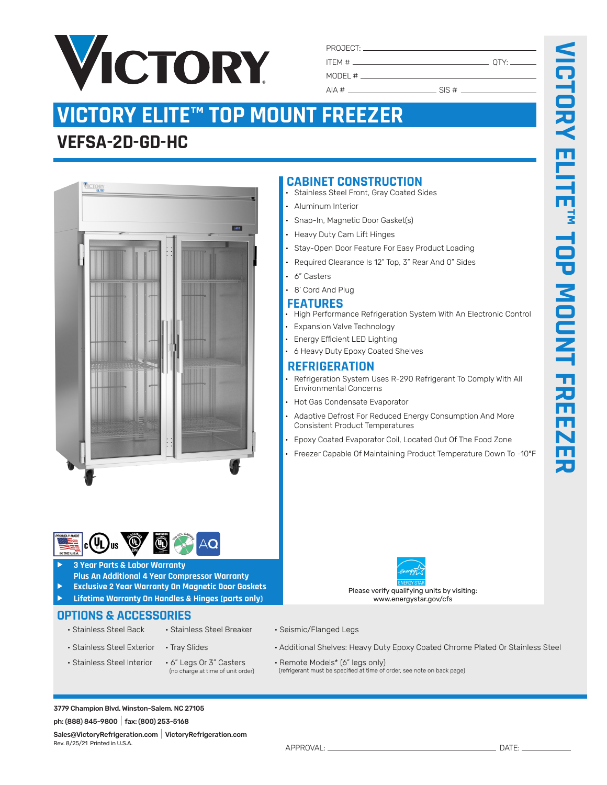

#### PROJECT: \_ ITEM # QTY: MODEL  $#$

 $AIA \#$  SIS #

**CABINET CONSTRUCTION**

• Snap-In, Magnetic Door Gasket(s) • Heavy Duty Cam Lift Hinges

Stainless Steel Front, Gray Coated Sides

Stay-Open Door Feature For Easy Product Loading • Required Clearance Is 12" Top, 3" Rear And 0" Sides

• High Performance Refrigeration System With An Electronic Control

• Refrigeration System Uses R-290 Refrigerant To Comply With All

• Adaptive Defrost For Reduced Energy Consumption And More

• Epoxy Coated Evaporator Coil, Located Out Of The Food Zone • Freezer Capable Of Maintaining Product Temperature Down To -10ºF

**FEATURES**

• 6" Casters 8' Cord And Plug

• Aluminum Interior

**REFRIGERATION**

Environmental Concerns • Hot Gas Condensate Evaporator

Consistent Product Temperatures

• Expansion Valve Technology • Energy Efficient LED Lighting • 6 Heavy Duty Epoxy Coated Shelves

# **VICTORY ELITE™ TOP MOUNT FREEZER**

# **VEFSA-2D-GD-HC**



### $\mathbf{u}_\mathbf{L}$ Jus

- f **3 Year Parts & Labor Warranty**
- **Plus An Additional 4 Year Compressor Warranty**
- f **Exclusive 2 Year Warranty On Magnetic Door Gaskets**
- f **Lifetime Warranty On Handles & Hinges (parts only)**

## **OPTIONS & ACCESSORIES**

- 
- 
- 
- 
- Stainless Steel Back Stainless Steel Breaker Seismic/Flanged Legs
- Stainless Steel Exterior Tray Slides Additional Shelves: Heavy Duty Epoxy Coated Chrome Plated Or Stainless Steel
- Stainless Steel Interior 6" Legs Or 3" Casters Remote Models\* (6" legs only)<br>(no charge at time of unit order) (refrigerant must be specified at time of order, see note on back page)

Please verify qualifying units by visiting: www.energystar.gov/cfs

Rev. 8/25/21 Printed in U.S.A.

- 
- 
- 

3779 Champion Blvd, Winston-Salem, NC 27105 ph: (888) 845-9800|fax: (800) 253-5168

Sales@VictoryRefrigeration.com|VictoryRefrigeration.com